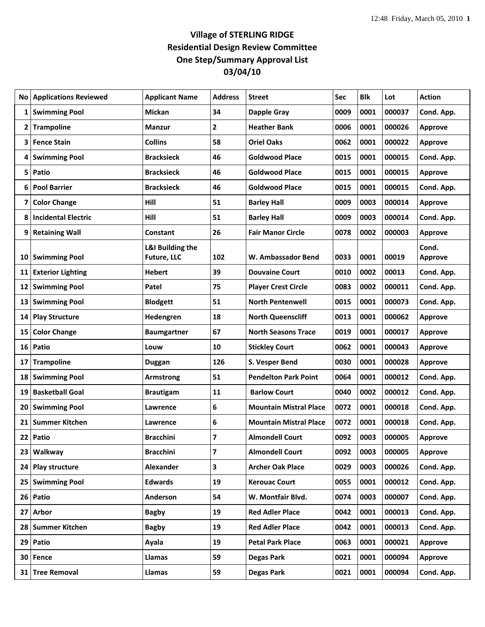## **Village of STERLING RIDGE Residential Design Review Committee One Step/Summary Approval List 03/04/10**

|    | <b>No Applications Reviewed</b> | <b>Applicant Name</b>                      | <b>Address</b> | <b>Street</b>                                          | Sec  | <b>Blk</b>   | Lot    | <b>Action</b>            |
|----|---------------------------------|--------------------------------------------|----------------|--------------------------------------------------------|------|--------------|--------|--------------------------|
| 1  | <b>Swimming Pool</b>            | <b>Mickan</b>                              | 34             | <b>Dapple Gray</b>                                     | 0009 | 0001         | 000037 | Cond. App.               |
| 2  | <b>Trampoline</b>               | <b>Manzur</b>                              | 2              | <b>Heather Bank</b>                                    | 0006 | 0001         | 000026 | <b>Approve</b>           |
| 3  | <b>Fence Stain</b>              | <b>Collins</b>                             | 58             | <b>Oriel Oaks</b>                                      | 0062 | 0001         | 000022 | <b>Approve</b>           |
|    | 4 Swimming Pool                 | <b>Bracksieck</b>                          | 46             | <b>Goldwood Place</b>                                  | 0015 | 0001         | 000015 | Cond. App.               |
| 5  | Patio                           | <b>Bracksieck</b>                          | 46             | <b>Goldwood Place</b>                                  | 0015 | 0001         | 000015 | <b>Approve</b>           |
| 6  | <b>Pool Barrier</b>             | <b>Bracksieck</b>                          | 46             | <b>Goldwood Place</b>                                  | 0015 | 0001         | 000015 | Cond. App.               |
| 7  | <b>Color Change</b>             | Hill                                       | 51             | <b>Barley Hall</b>                                     | 0009 | 0003         | 000014 | <b>Approve</b>           |
| 8  | <b>Incidental Electric</b>      | Hill                                       | 51             | <b>Barley Hall</b>                                     | 0009 | 0003         | 000014 | Cond. App.               |
| 9  | <b>Retaining Wall</b>           | Constant                                   | 26             | <b>Fair Manor Circle</b>                               | 0078 | 0002         | 000003 | <b>Approve</b>           |
|    | 10 Swimming Pool                | <b>L&amp;I Building the</b><br>Future, LLC | 102            | W. Ambassador Bend                                     | 0033 | 0001         | 00019  | Cond.<br><b>Approve</b>  |
| 11 | <b>Exterior Lighting</b>        | <b>Hebert</b>                              | 39             | <b>Douvaine Court</b>                                  | 0010 | 0002         | 00013  | Cond. App.               |
|    | 12 Swimming Pool                | Patel                                      | 75             |                                                        | 0083 | 0002         | 000011 |                          |
|    | 13 Swimming Pool                |                                            | 51             | <b>Player Crest Circle</b><br><b>North Pentenwell</b>  | 0015 | 0001         | 000073 | Cond. App.<br>Cond. App. |
|    |                                 | <b>Blodgett</b>                            | 18             |                                                        | 0013 |              | 000062 |                          |
|    | 14 Play Structure               | Hedengren                                  | 67             | <b>North Queenscliff</b><br><b>North Seasons Trace</b> |      | 0001<br>0001 | 000017 | <b>Approve</b>           |
| 15 | <b>Color Change</b>             | <b>Baumgartner</b>                         |                |                                                        | 0019 |              |        | <b>Approve</b>           |
|    | 16 Patio                        | Louw                                       | 10             | <b>Stickley Court</b>                                  | 0062 | 0001         | 000043 | <b>Approve</b>           |
| 17 | <b>Trampoline</b>               | Duggan                                     | 126            | S. Vesper Bend                                         | 0030 | 0001         | 000028 | <b>Approve</b>           |
| 18 | <b>Swimming Pool</b>            | Armstrong                                  | 51             | <b>Pendelton Park Point</b>                            | 0064 | 0001         | 000012 | Cond. App.               |
| 19 | <b>Basketball Goal</b>          | <b>Brautigam</b>                           | 11             | <b>Barlow Court</b>                                    | 0040 | 0002         | 000012 | Cond. App.               |
| 20 | <b>Swimming Pool</b>            | Lawrence                                   | 6              | <b>Mountain Mistral Place</b>                          | 0072 | 0001         | 000018 | Cond. App.               |
| 21 | <b>Summer Kitchen</b>           | Lawrence                                   | 6              | <b>Mountain Mistral Place</b>                          | 0072 | 0001         | 000018 | Cond. App.               |
|    | 22 Patio                        | <b>Bracchini</b>                           | 7              | <b>Almondell Court</b>                                 | 0092 | 0003         | 000005 | <b>Approve</b>           |
|    | 23 Walkway                      | <b>Bracchini</b>                           | 7              | <b>Almondell Court</b>                                 | 0092 | 0003         | 000005 | <b>Approve</b>           |
|    | 24 Play structure               | Alexander                                  | 3              | <b>Archer Oak Place</b>                                | 0029 | 0003         | 000026 | Cond. App.               |
|    | 25 Swimming Pool                | <b>Edwards</b>                             | 19             | <b>Kerouac Court</b>                                   | 0055 | 0001         | 000012 | Cond. App.               |
|    | 26 Patio                        | Anderson                                   | 54             | W. Montfair Blvd.                                      | 0074 | 0003         | 000007 | Cond. App.               |
| 27 | <b>Arbor</b>                    | <b>Bagby</b>                               | 19             | <b>Red Adler Place</b>                                 | 0042 | 0001         | 000013 | Cond. App.               |
|    | 28 Summer Kitchen               | <b>Bagby</b>                               | 19             | <b>Red Adler Place</b>                                 | 0042 | 0001         | 000013 | Cond. App.               |
|    | 29 Patio                        | Ayala                                      | 19             | <b>Petal Park Place</b>                                | 0063 | 0001         | 000021 | <b>Approve</b>           |
|    | 30 Fence                        | Llamas                                     | 59             | <b>Degas Park</b>                                      | 0021 | 0001         | 000094 | <b>Approve</b>           |
|    | 31 Tree Removal                 | Llamas                                     | 59             | <b>Degas Park</b>                                      | 0021 | 0001         | 000094 | Cond. App.               |